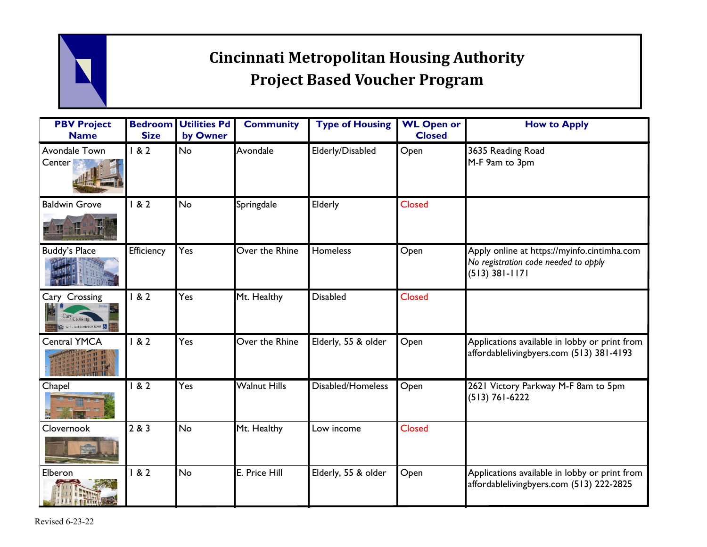## **Cincinnati Metropolitan Housing Authority Project Based Voucher Program**

| <b>PBV Project</b><br><b>Name</b>                                     | <b>Bedroom</b><br><b>Size</b> | <b>Utilities Pd</b><br>by Owner | <b>Community</b>    | <b>Type of Housing</b> | <b>WL Open or</b><br><b>Closed</b> | <b>How to Apply</b>                                                                                     |
|-----------------------------------------------------------------------|-------------------------------|---------------------------------|---------------------|------------------------|------------------------------------|---------------------------------------------------------------------------------------------------------|
| Avondale Town<br>Center                                               | 182                           | <b>No</b>                       | Avondale            | Elderly/Disabled       | Open                               | 3635 Reading Road<br>M-F 9am to 3pm                                                                     |
| <b>Baldwin Grove</b><br>HE STILL                                      | 182                           | No                              | Springdale          | Elderly                | <b>Closed</b>                      |                                                                                                         |
| <b>Buddy's Place</b>                                                  | Efficiency                    | Yes                             | Over the Rhine      | Homeless               | Open                               | Apply online at https://myinfo.cintimha.com<br>No registration code needed to apply<br>$(513)$ 381-1171 |
| Cary Crossing<br>Cary <sub>Crossing</sub><br>1413 - 1431 COMPTON ROAD | 182                           | Yes                             | Mt. Healthy         | <b>Disabled</b>        | <b>Closed</b>                      |                                                                                                         |
| <b>Central YMCA</b>                                                   | 182                           | Yes                             | Over the Rhine      | Elderly, 55 & older    | Open                               | Applications available in lobby or print from<br>affordablelivingbyers.com (513) 381-4193               |
| Chapel                                                                | 182                           | Yes                             | <b>Walnut Hills</b> | Disabled/Homeless      | Open                               | 2621 Victory Parkway M-F 8am to 5pm<br>$(513) 761 - 6222$                                               |
| Clovernook                                                            | 2 & 3                         | <b>No</b>                       | Mt. Healthy         | Low income             | <b>Closed</b>                      |                                                                                                         |
| Elberon                                                               | 182                           | No                              | E. Price Hill       | Elderly, 55 & older    | Open                               | Applications available in lobby or print from<br>affordablelivingbyers.com (513) 222-2825               |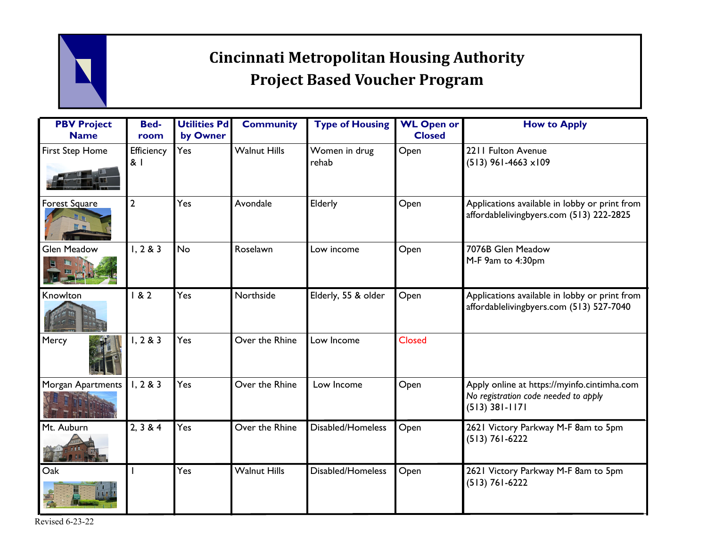## **Cincinnati Metropolitan Housing Authority Project Based Voucher Program**

| <b>PBV Project</b><br><b>Name</b> | <b>Bed-</b><br>room | <b>Utilities Pd</b><br>by Owner | <b>Community</b>    | <b>Type of Housing</b> | <b>WL Open or</b><br><b>Closed</b> | <b>How to Apply</b>                                                                                     |
|-----------------------------------|---------------------|---------------------------------|---------------------|------------------------|------------------------------------|---------------------------------------------------------------------------------------------------------|
| First Step Home                   | Efficiency<br>81    | Yes                             | <b>Walnut Hills</b> | Women in drug<br>rehab | Open                               | 2211 Fulton Avenue<br>$(513)$ 961-4663 $\times$ 109                                                     |
| Forest Square                     | $\mathbf{2}$        | Yes                             | Avondale            | Elderly                | Open                               | Applications available in lobby or print from<br>affordablelivingbyers.com (513) 222-2825               |
| <b>Glen Meadow</b>                | 1, 2 & 3            | <b>No</b>                       | Roselawn            | Low income             | Open                               | 7076B Glen Meadow<br>M-F 9am to 4:30pm                                                                  |
| Knowlton                          | 182                 | Yes                             | Northside           | Elderly, 55 & older    | Open                               | Applications available in lobby or print from<br>affordablelivingbyers.com (513) 527-7040               |
| Mercy                             | 1, 2 & 3            | Yes                             | Over the Rhine      | Low Income             | <b>Closed</b>                      |                                                                                                         |
| <b>Morgan Apartments</b>          | 1, 2 & 3            | Yes                             | Over the Rhine      | Low Income             | Open                               | Apply online at https://myinfo.cintimha.com<br>No registration code needed to apply<br>$(513)$ 381-1171 |
| Mt. Auburn                        | 2, 3 & 4            | Yes                             | Over the Rhine      | Disabled/Homeless      | Open                               | 2621 Victory Parkway M-F 8am to 5pm<br>$(513) 761 - 6222$                                               |
| Oak                               |                     | Yes                             | <b>Walnut Hills</b> | Disabled/Homeless      | Open                               | 2621 Victory Parkway M-F 8am to 5pm<br>$(513) 761 - 6222$                                               |